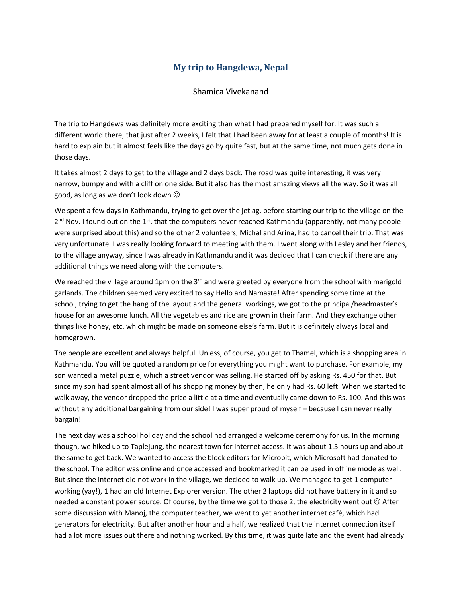## **My trip to Hangdewa, Nepal**

Shamica Vivekanand

The trip to Hangdewa was definitely more exciting than what I had prepared myself for. It was such a different world there, that just after 2 weeks, I felt that I had been away for at least a couple of months! It is hard to explain but it almost feels like the days go by quite fast, but at the same time, not much gets done in those days.

It takes almost 2 days to get to the village and 2 days back. The road was quite interesting, it was very narrow, bumpy and with a cliff on one side. But it also has the most amazing views all the way. So it was all good, as long as we don't look down  $\odot$ 

We spent a few days in Kathmandu, trying to get over the jetlag, before starting our trip to the village on the  $2<sup>nd</sup>$  Nov. I found out on the  $1<sup>st</sup>$ , that the computers never reached Kathmandu (apparently, not many people were surprised about this) and so the other 2 volunteers, Michal and Arina, had to cancel their trip. That was very unfortunate. I was really looking forward to meeting with them. I went along with Lesley and her friends, to the village anyway, since I was already in Kathmandu and it was decided that I can check if there are any additional things we need along with the computers.

We reached the village around 1pm on the 3<sup>rd</sup> and were greeted by everyone from the school with marigold garlands. The children seemed very excited to say Hello and Namaste! After spending some time at the school, trying to get the hang of the layout and the general workings, we got to the principal/headmaster's house for an awesome lunch. All the vegetables and rice are grown in their farm. And they exchange other things like honey, etc. which might be made on someone else's farm. But it is definitely always local and homegrown.

The people are excellent and always helpful. Unless, of course, you get to Thamel, which is a shopping area in Kathmandu. You will be quoted a random price for everything you might want to purchase. For example, my son wanted a metal puzzle, which a street vendor was selling. He started off by asking Rs. 450 for that. But since my son had spent almost all of his shopping money by then, he only had Rs. 60 left. When we started to walk away, the vendor dropped the price a little at a time and eventually came down to Rs. 100. And this was without any additional bargaining from our side! I was super proud of myself – because I can never really bargain!

The next day was a school holiday and the school had arranged a welcome ceremony for us. In the morning though, we hiked up to Taplejung, the nearest town for internet access. It was about 1.5 hours up and about the same to get back. We wanted to access the block editors for Microbit, which Microsoft had donated to the school. The editor was online and once accessed and bookmarked it can be used in offline mode as well. But since the internet did not work in the village, we decided to walk up. We managed to get 1 computer working (yay!), 1 had an old Internet Explorer version. The other 2 laptops did not have battery in it and so needed a constant power source. Of course, by the time we got to those 2, the electricity went out  $\odot$  After some discussion with Manoj, the computer teacher, we went to yet another internet café, which had generators for electricity. But after another hour and a half, we realized that the internet connection itself had a lot more issues out there and nothing worked. By this time, it was quite late and the event had already